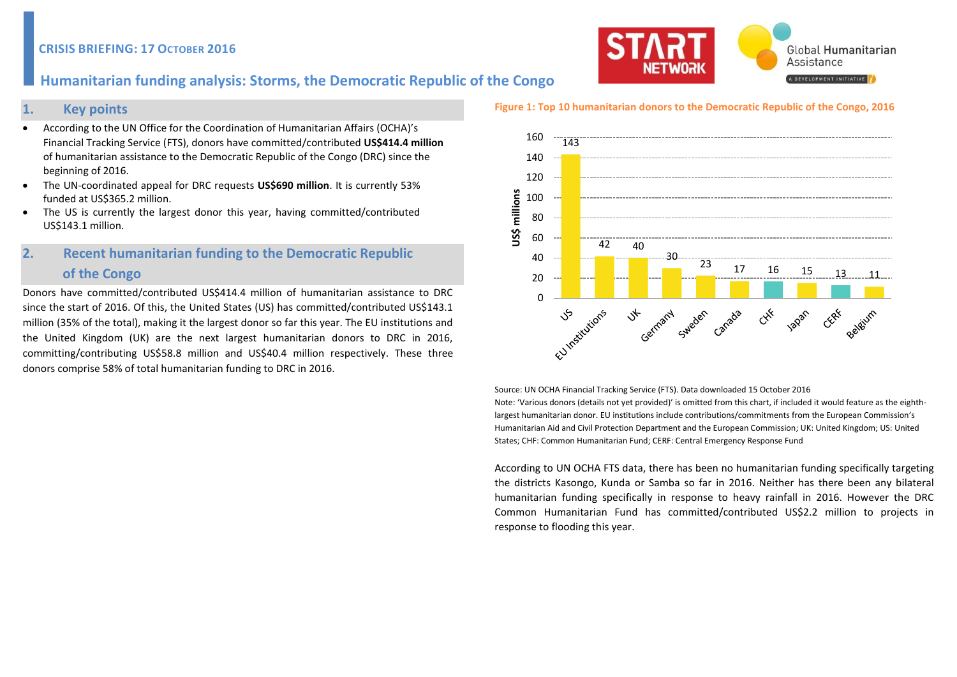### **CRISIS BRIEFING: 17 OCTOBER 2016**



### **1. Key points**

- According to the UN Office for the Coordination of Humanitarian Affairs (OCHA)'s Financial Tracking Service (FTS), donors have committed/contributed **US\$414.4 million** of humanitarian assistance to the Democratic Republic of the Congo (DRC) since the beginning of 2016.
- The UN-coordinated appeal for DRC requests **US\$690 million**. It is currently 53% funded at US\$365.2 million.
- The US is currently the largest donor this year, having committed/contributed US\$143.1 million.

# **2. Recent humanitarian funding to the Democratic Republic of the Congo**

Donors have committed/contributed US\$414.4 million of humanitarian assistance to DRC since the start of 2016. Of this, the United States (US) has committed/contributed US\$143.1 million (35% of the total), making it the largest donor so far this year. The EU institutions and the United Kingdom (UK) are the next largest humanitarian donors to DRC in 2016, committing/contributing US\$58.8 million and US\$40.4 million respectively. These three donors comprise 58% of total humanitarian funding to DRC in 2016.

#### **Figure 1: Top 10 humanitarian donors to the Democratic Republic of the Congo, 2016**



Source: UN OCHA Financial Tracking Service (FTS). Data downloaded 15 October 2016 Note: 'Various donors (details not yet provided)' is omitted from this chart, if included it would feature as the eighthlargest humanitarian donor. EU institutions include contributions/commitments from the European Commission's Humanitarian Aid and Civil Protection Department and the European Commission; UK: United Kingdom; US: United States; CHF: Common Humanitarian Fund; CERF: Central Emergency Response Fund

According to UN OCHA FTS data, there has been no humanitarian funding specifically targeting the districts Kasongo, Kunda or Samba so far in 2016. Neither has there been any bilateral humanitarian funding specifically in response to heavy rainfall in 2016. However the DRC Common Humanitarian Fund has committed/contributed US\$2.2 million to projects in response to flooding this year.

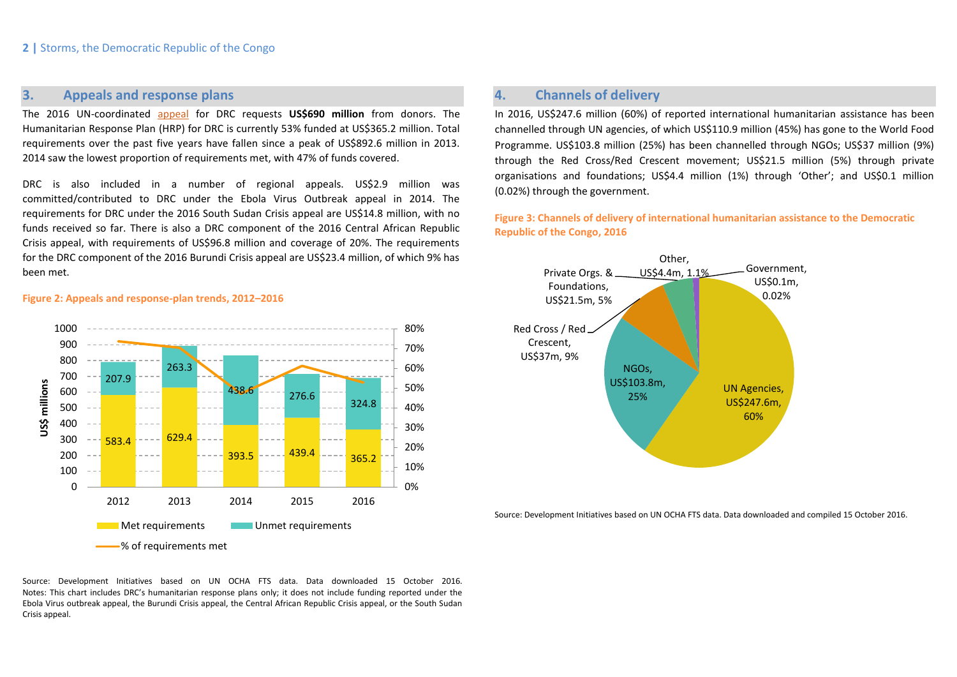## **3. Appeals and response plans**

The 2016 UN-coordinated [appeal](https://www.humanitarianresponse.info/en/system/files/documents/files/drc_hrp_2016_2.pdf) for DRC requests **US\$690 million** from donors. The Humanitarian Response Plan (HRP) for DRC is currently 53% funded at US\$365.2 million. Total requirements over the past five years have fallen since a peak of US\$892.6 million in 2013. 2014 saw the lowest proportion of requirements met, with 47% of funds covered.

DRC is also included in a number of regional appeals. US\$2.9 million was committed/contributed to DRC under the Ebola Virus Outbreak appeal in 2014. The requirements for DRC under the 2016 South Sudan Crisis appeal are US\$14.8 million, with no funds received so far. There is also a DRC component of the 2016 Central African Republic Crisis appeal, with requirements of US\$96.8 million and coverage of 20%. The requirements for the DRC component of the 2016 Burundi Crisis appeal are US\$23.4 million, of which 9% has been met.

## **4. Channels of delivery**

In 2016, US\$247.6 million (60%) of reported international humanitarian assistance has been channelled through UN agencies, of which US\$110.9 million (45%) has gone to the World Food Programme. US\$103.8 million (25%) has been channelled through NGOs; US\$37 million (9%) through the Red Cross/Red Crescent movement; US\$21.5 million (5%) through private organisations and foundations; US\$4.4 million (1%) through 'Other'; and US\$0.1 million (0.02%) through the government.

**Figure 3: Channels of delivery of international humanitarian assistance to the Democratic Republic of the Congo, 2016**



Source: Development Initiatives based on UN OCHA FTS data. Data downloaded and compiled 15 October 2016.

### **Figure 2: Appeals and response-plan trends, 2012–2016**



Source: Development Initiatives based on UN OCHA FTS data. Data downloaded 15 October 2016. Notes: This chart includes DRC's humanitarian response plans only; it does not include funding reported under the Ebola Virus outbreak appeal, the Burundi Crisis appeal, the Central African Republic Crisis appeal, or the South Sudan Crisis appeal.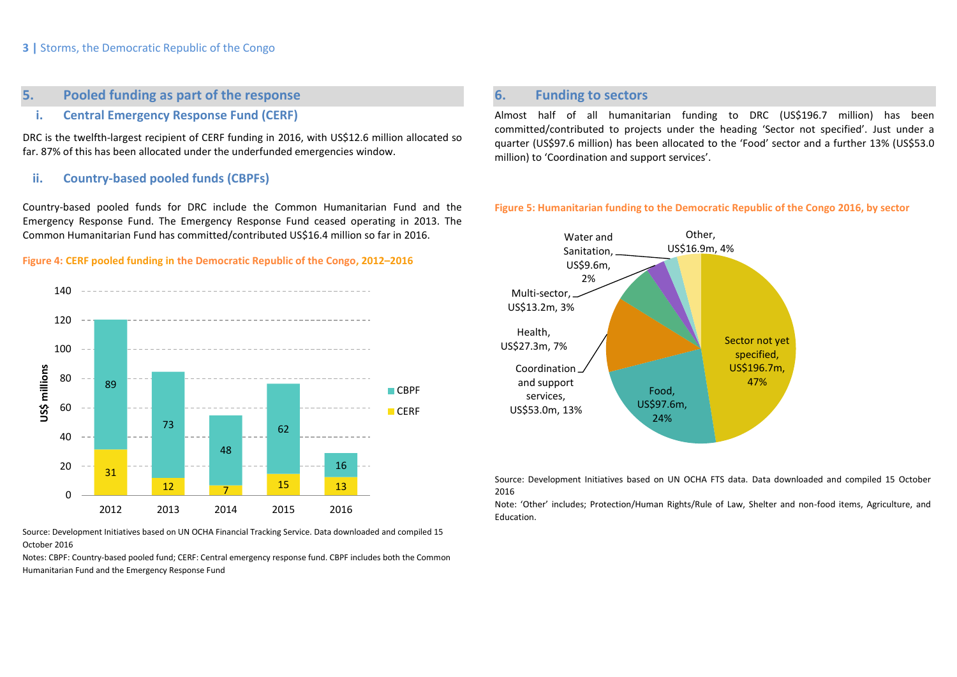### **3 |** Storms, the Democratic Republic of the Congo

## **5. Pooled funding as part of the response**

## **i. Central Emergency Response Fund (CERF)**

DRC is the twelfth-largest recipient of CERF funding in 2016, with US\$12.6 million allocated so far. 87% of this has been allocated under the underfunded emergencies window.

### **ii. Country-based pooled funds (CBPFs)**

Country-based pooled funds for DRC include the Common Humanitarian Fund and the Emergency Response Fund. The Emergency Response Fund ceased operating in 2013. The Common Humanitarian Fund has committed/contributed US\$16.4 million so far in 2016.

### **Figure 4: CERF pooled funding in the Democratic Republic of the Congo, 2012–2016**



Source: Development Initiatives based on UN OCHA Financial Tracking Service. Data downloaded and compiled 15 October 2016

Notes: CBPF: Country-based pooled fund; CERF: Central emergency response fund. CBPF includes both the Common Humanitarian Fund and the Emergency Response Fund

## **6. Funding to sectors**

Almost half of all humanitarian funding to DRC (US\$196.7 million) has been committed/contributed to projects under the heading 'Sector not specified'. Just under a quarter (US\$97.6 million) has been allocated to the 'Food' sector and a further 13% (US\$53.0 million) to 'Coordination and support services'.

#### **Figure 5: Humanitarian funding to the Democratic Republic of the Congo 2016, by sector**



Source: Development Initiatives based on UN OCHA FTS data. Data downloaded and compiled 15 October 2016

Note: 'Other' includes; Protection/Human Rights/Rule of Law, Shelter and non-food items, Agriculture, and Education.